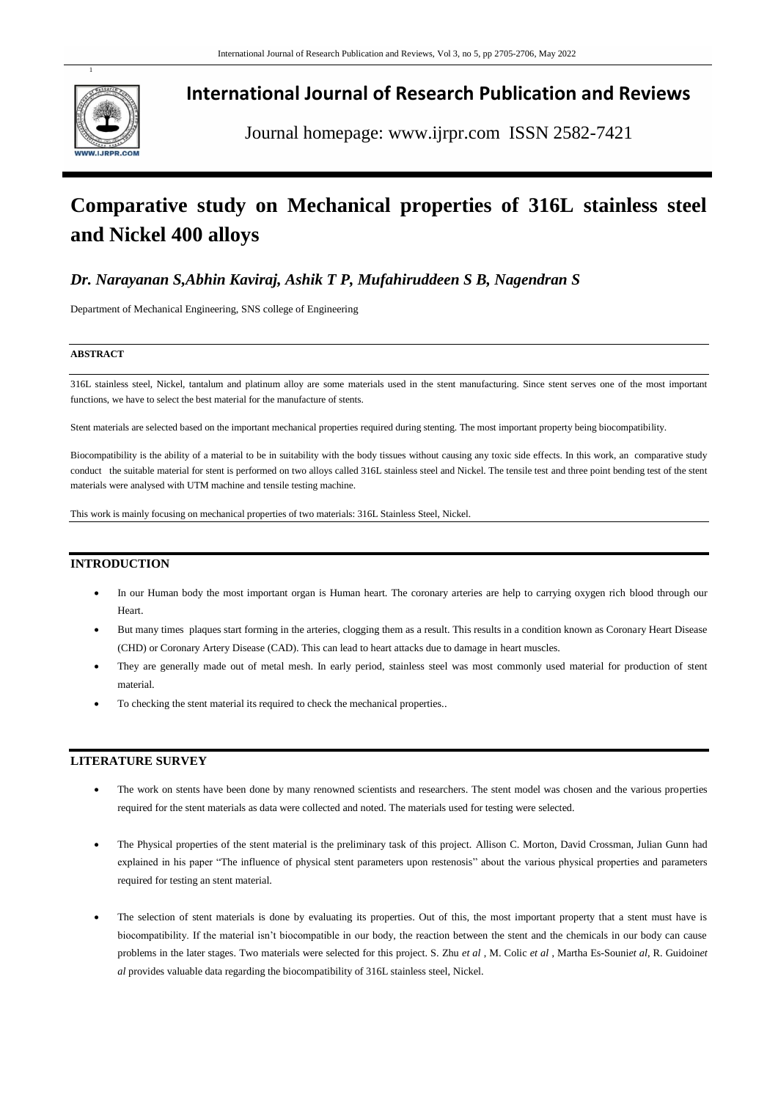

## **International Journal of Research Publication and Reviews**

Journal homepage: www.ijrpr.com ISSN 2582-7421

# **Comparative study on Mechanical properties of 316L stainless steel and Nickel 400 alloys**

## *Dr. Narayanan S,Abhin Kaviraj, Ashik T P, Mufahiruddeen S B, Nagendran S*

Department of Mechanical Engineering, SNS college of Engineering

#### **ABSTRACT**

316L stainless steel, Nickel, tantalum and platinum alloy are some materials used in the stent manufacturing. Since stent serves one of the most important functions, we have to select the best material for the manufacture of stents.

Stent materials are selected based on the important mechanical properties required during stenting. The most important property being biocompatibility.

Biocompatibility is the ability of a material to be in suitability with the body tissues without causing any toxic side effects. In this work, an comparative study conduct the suitable material for stent is performed on two alloys called 316L stainless steel and Nickel. The tensile test and three point bending test of the stent materials were analysed with UTM machine and tensile testing machine.

This work is mainly focusing on mechanical properties of two materials: 316L Stainless Steel, Nickel.

#### **INTRODUCTION**

- In our Human body the most important organ is Human heart. The coronary arteries are help to carrying oxygen rich blood through our Heart.
- But many times plaques start forming in the arteries, clogging them as a result. This results in a condition known as Coronary Heart Disease (CHD) or Coronary Artery Disease (CAD). This can lead to heart attacks due to damage in heart muscles.
- They are generally made out of metal mesh. In early period, stainless steel was most commonly used material for production of stent material.
- To checking the stent material its required to check the mechanical properties..

#### **LITERATURE SURVEY**

- The work on stents have been done by many renowned scientists and researchers. The stent model was chosen and the various properties required for the stent materials as data were collected and noted. The materials used for testing were selected.
- The Physical properties of the stent material is the preliminary task of this project. Allison C. Morton, David Crossman, Julian Gunn had explained in his paper "The influence of physical stent parameters upon restenosis" about the various physical properties and parameters required for testing an stent material.
- The selection of stent materials is done by evaluating its properties. Out of this, the most important property that a stent must have is biocompatibility. If the material isn't biocompatible in our body, the reaction between the stent and the chemicals in our body can cause problems in the later stages. Two materials were selected for this project. S. Zhu *et al* , M. Colic *et al* , Martha Es-Souni*et al*, R. Guidoin*et al* provides valuable data regarding the biocompatibility of 316L stainless steel, Nickel.